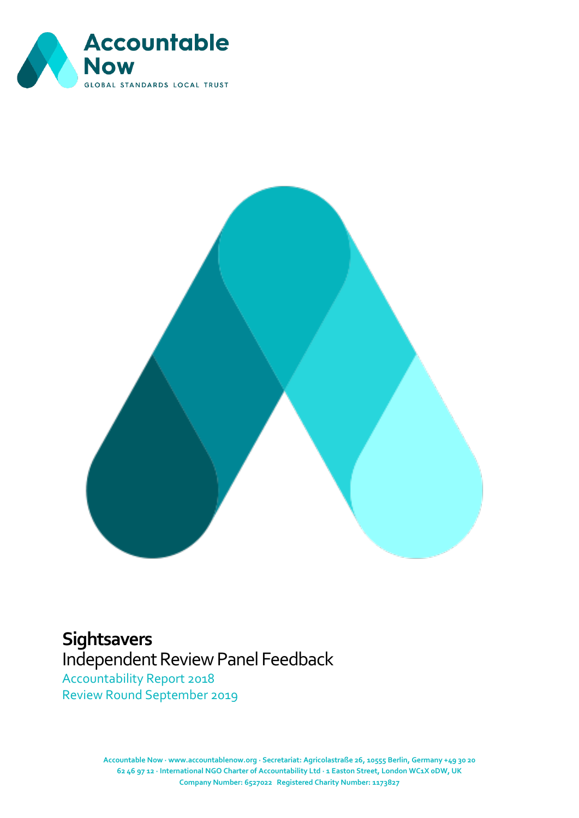



# **Sightsavers**

Independent Review Panel Feedback

Accountability Report 2018 Review Round September 2019

> **Accountable Now · www.accountablenow.org · Secretariat: Agricolastraße 26, 10555 Berlin, Germany +49 30 20** [Document title] **62 46 97 12 · International NGO Charter of Accountability Ltd · 1 Easton Street, London WC1X 0DW, UK Company Number: 6527022 Registered Charity Number: 1173827**  $\mathcal{D}$  and  $\mathcal{D}$  and  $\mathcal{D}$  and  $\mathcal{D}$  and  $\mathcal{D}$  and  $\mathcal{D}$  and  $\mathcal{D}$  and  $\mathcal{D}$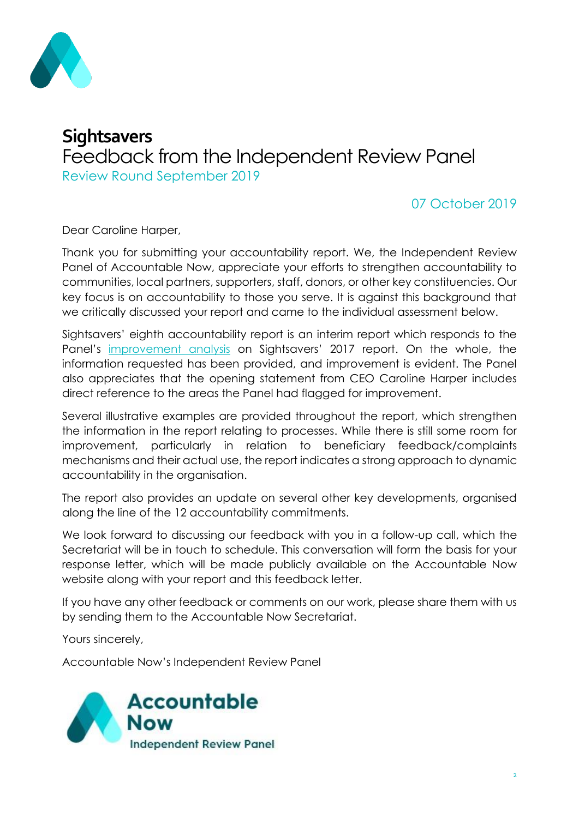

## **Sightsavers** Feedback from the Independent Review Panel Review Round September 2019

### 07 October 2019

Dear Caroline Harper,

Thank you for submitting your accountability report. We, the Independent Review Panel of Accountable Now, appreciate your efforts to strengthen accountability to communities, local partners, supporters, staff, donors, or other key constituencies. Our key focus is on accountability to those you serve. It is against this background that we critically discussed your report and came to the individual assessment below.

Sightsavers' eighth accountability report is an interim report which responds to the Panel's [improvement analysis](https://accountablenow.org/wp-content/uploads/2017/01/Sightsavers-2017-Report_Improvement-Analysis.pdf) on Sightsavers' 2017 report. On the whole, the information requested has been provided, and improvement is evident. The Panel also appreciates that the opening statement from CEO Caroline Harper includes direct reference to the areas the Panel had flagged for improvement.

Several illustrative examples are provided throughout the report, which strengthen the information in the report relating to processes. While there is still some room for improvement, particularly in relation to beneficiary feedback/complaints mechanisms and their actual use, the report indicates a strong approach to dynamic accountability in the organisation.

The report also provides an update on several other key developments, organised along the line of the 12 accountability commitments.

We look forward to discussing our feedback with you in a follow-up call, which the Secretariat will be in touch to schedule. This conversation will form the basis for your response letter, which will be made publicly available on the Accountable Now website along with your report and this feedback letter.

If you have any other feedback or comments on our work, please share them with us by sending them to the Accountable Now Secretariat.

Yours sincerely,

Accountable Now's Independent Review Panel

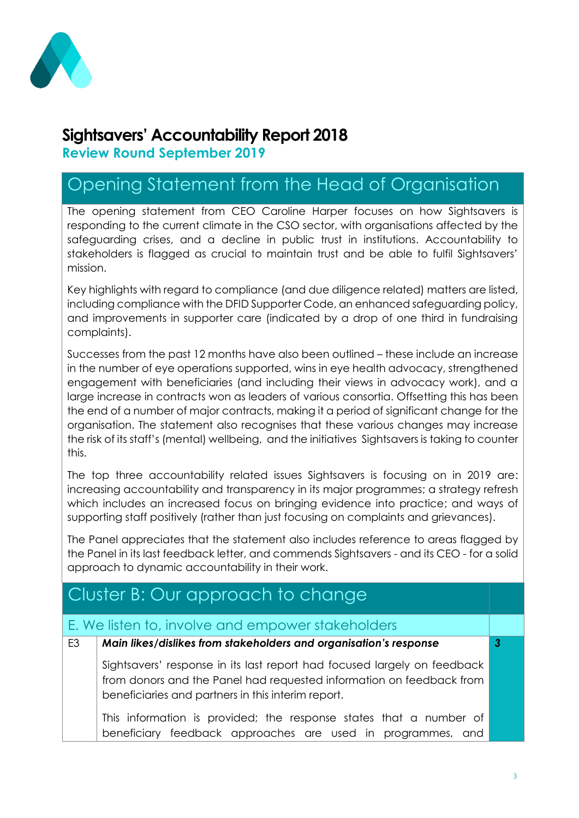

## **Sightsavers' Accountability Report 2018**

**Review Round September 2019**

# Opening Statement from the Head of Organisation

The opening statement from CEO Caroline Harper focuses on how Sightsavers is responding to the current climate in the CSO sector, with organisations affected by the safeguarding crises, and a decline in public trust in institutions. Accountability to stakeholders is flagged as crucial to maintain trust and be able to fulfil Sightsavers' mission.

Key highlights with regard to compliance (and due diligence related) matters are listed, including compliance with the DFID Supporter Code, an enhanced safeguarding policy, and improvements in supporter care (indicated by a drop of one third in fundraising complaints).

Successes from the past 12 months have also been outlined – these include an increase in the number of eye operations supported, wins in eye health advocacy, strengthened engagement with beneficiaries (and including their views in advocacy work), and a large increase in contracts won as leaders of various consortia. Offsetting this has been the end of a number of major contracts, making it a period of significant change for the organisation. The statement also recognises that these various changes may increase the risk of its staff's (mental) wellbeing, and the initiatives Sightsavers is taking to counter this.

The top three accountability related issues Sightsavers is focusing on in 2019 are: increasing accountability and transparency in its major programmes; a strategy refresh which includes an increased focus on bringing evidence into practice; and ways of supporting staff positively (rather than just focusing on complaints and grievances).

The Panel appreciates that the statement also includes reference to areas flagged by the Panel in its last feedback letter, and commends Sightsavers - and its CEO - for a solid approach to dynamic accountability in their work.

## Cluster B: Our approach to change

#### E. We listen to, involve and empower stakeholders

## E3 *Main likes/dislikes from stakeholders and organisation's response* Sightsavers' response in its last report had focused largely on feedback from donors and the Panel had requested information on feedback from beneficiaries and partners in this interim report.

This information is provided; the response states that a number of beneficiary feedback approaches are used in programmes, and

*3*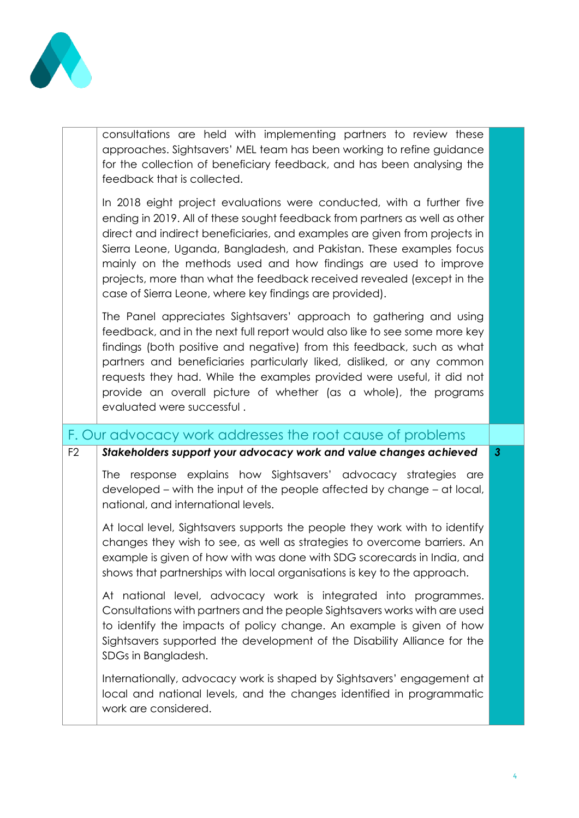

consultations are held with implementing partners to review these approaches. Sightsavers' MEL team has been working to refine guidance for the collection of beneficiary feedback, and has been analysing the feedback that is collected.

In 2018 eight project evaluations were conducted, with a further five ending in 2019. All of these sought feedback from partners as well as other direct and indirect beneficiaries, and examples are given from projects in Sierra Leone, Uganda, Bangladesh, and Pakistan. These examples focus mainly on the methods used and how findings are used to improve projects, more than what the feedback received revealed (except in the case of Sierra Leone, where key findings are provided).

The Panel appreciates Sightsavers' approach to gathering and using feedback, and in the next full report would also like to see some more key findings (both positive and negative) from this feedback, such as what partners and beneficiaries particularly liked, disliked, or any common requests they had. While the examples provided were useful, it did not provide an overall picture of whether (as a whole), the programs evaluated were successful .

F. Our advocacy work addresses the root cause of problems

| F <sub>2</sub> | Stakeholders support your advocacy work and value changes achieved                                                                                                                                                                                                                                                       | $\mathbf{3}$ |
|----------------|--------------------------------------------------------------------------------------------------------------------------------------------------------------------------------------------------------------------------------------------------------------------------------------------------------------------------|--------------|
|                | response explains how Sightsavers' advocacy strategies are<br><b>The</b><br>developed – with the input of the people affected by change – at local,<br>national, and international levels.                                                                                                                               |              |
|                | At local level, Sightsavers supports the people they work with to identify<br>changes they wish to see, as well as strategies to overcome barriers. An<br>example is given of how with was done with SDG scorecards in India, and<br>shows that partnerships with local organisations is key to the approach.            |              |
|                | At national level, advocacy work is integrated into programmes.<br>Consultations with partners and the people Sightsavers works with are used<br>to identify the impacts of policy change. An example is given of how<br>Sightsavers supported the development of the Disability Alliance for the<br>SDGs in Bangladesh. |              |
|                | Internationally, advocacy work is shaped by Sightsavers' engagement at<br>local and national levels, and the changes identified in programmatic<br>work are considered.                                                                                                                                                  |              |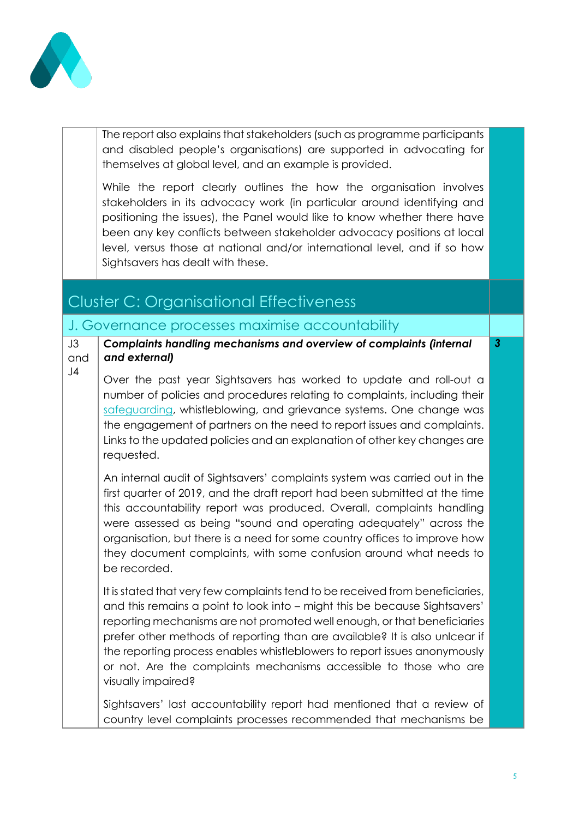

J3

The report also explains that stakeholders (such as programme participants and disabled people's organisations) are supported in advocating for themselves at global level, and an example is provided.

While the report clearly outlines the how the organisation involves stakeholders in its advocacy work (in particular around identifying and positioning the issues), the Panel would like to know whether there have been any key conflicts between stakeholder advocacy positions at local level, versus those at national and/or international level, and if so how Sightsavers has dealt with these.

## Cluster C: Organisational Effectiveness

#### J. Governance processes maximise accountability

and *Complaints handling mechanisms and overview of complaints (internal and external) 3*

J4 Over the past year Sightsavers has worked to update and roll-out a number of policies and procedures relating to complaints, including their [safeguarding,](https://www.sightsavers.org/how-were-run/our-approach-to-safeguarding/) whistleblowing, and grievance systems. One change was the engagement of partners on the need to report issues and complaints. Links to the updated policies and an explanation of other key changes are requested.

An internal audit of Sightsavers' complaints system was carried out in the first quarter of 2019, and the draft report had been submitted at the time this accountability report was produced. Overall, complaints handling were assessed as being "sound and operating adequately" across the organisation, but there is a need for some country offices to improve how they document complaints, with some confusion around what needs to be recorded.

It is stated that very few complaints tend to be received from beneficiaries, and this remains a point to look into – might this be because Sightsavers' reporting mechanisms are not promoted well enough, or that beneficiaries prefer other methods of reporting than are available? It is also unlcear if the reporting process enables whistleblowers to report issues anonymously or not. Are the complaints mechanisms accessible to those who are visually impaired?

Sightsavers' last accountability report had mentioned that a review of country level complaints processes recommended that mechanisms be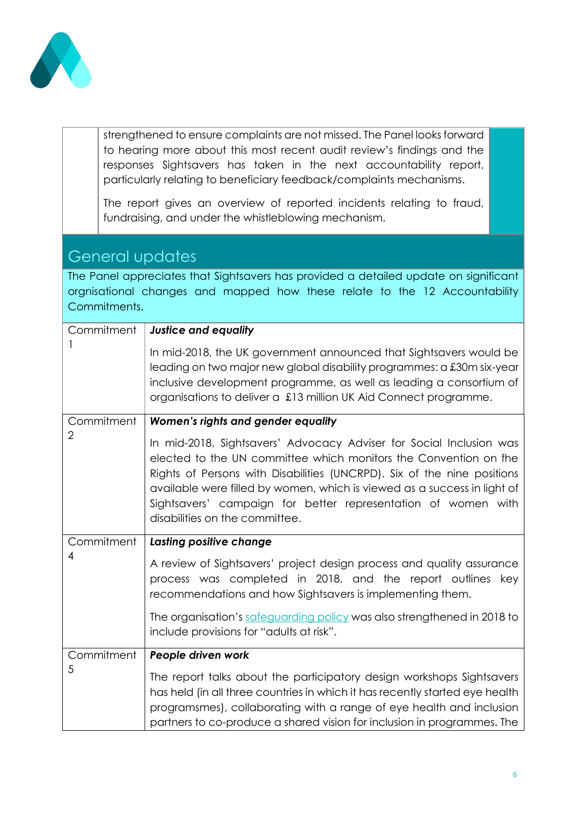

strengthened to ensure complaints are not missed. The Panel looks forward to hearing more about this most recent audit review's findings and the responses Sightsavers has taken in the next accountability report, particularly relating to beneficiary feedback/complaints mechanisms.

The report gives an overview of reported incidents relating to fraud, fundraising, and under the whistleblowing mechanism.

### General updates

The Panel appreciates that Sightsavers has provided a detailed update on significant orgnisational changes and mapped how these relate to the 12 Accountability Commitments.

| Commitment     | <b>Justice and equality</b>                                                                                                                                                                                                                                                                                                                                                                       |
|----------------|---------------------------------------------------------------------------------------------------------------------------------------------------------------------------------------------------------------------------------------------------------------------------------------------------------------------------------------------------------------------------------------------------|
|                | In mid-2018, the UK government announced that Sightsavers would be<br>leading on two major new global disability programmes: a £30m six-year<br>inclusive development programme, as well as leading a consortium of<br>organisations to deliver a £13 million UK Aid Connect programme.                                                                                                           |
| Commitment     | Women's rights and gender equality                                                                                                                                                                                                                                                                                                                                                                |
| $\overline{2}$ | In mid-2018, Sightsavers' Advocacy Adviser for Social Inclusion was<br>elected to the UN committee which monitors the Convention on the<br>Rights of Persons with Disabilities (UNCRPD). Six of the nine positions<br>available were filled by women, which is viewed as a success in light of<br>Sightsavers' campaign for better representation of women with<br>disabilities on the committee. |
| Commitment     | Lasting positive change                                                                                                                                                                                                                                                                                                                                                                           |
| 4              | A review of Sightsavers' project design process and quality assurance<br>process was completed in 2018, and the report outlines key<br>recommendations and how Sightsavers is implementing them.                                                                                                                                                                                                  |
|                | The organisation's safeguarding policy was also strengthened in 2018 to<br>include provisions for "adults at risk".                                                                                                                                                                                                                                                                               |
| Commitment     | People driven work                                                                                                                                                                                                                                                                                                                                                                                |
| 5              | The report talks about the participatory design workshops Sightsavers<br>has held (in all three countries in which it has recently started eye health<br>programsmes), collaborating with a range of eye health and inclusion                                                                                                                                                                     |
|                | partners to co-produce a shared vision for inclusion in programmes. The                                                                                                                                                                                                                                                                                                                           |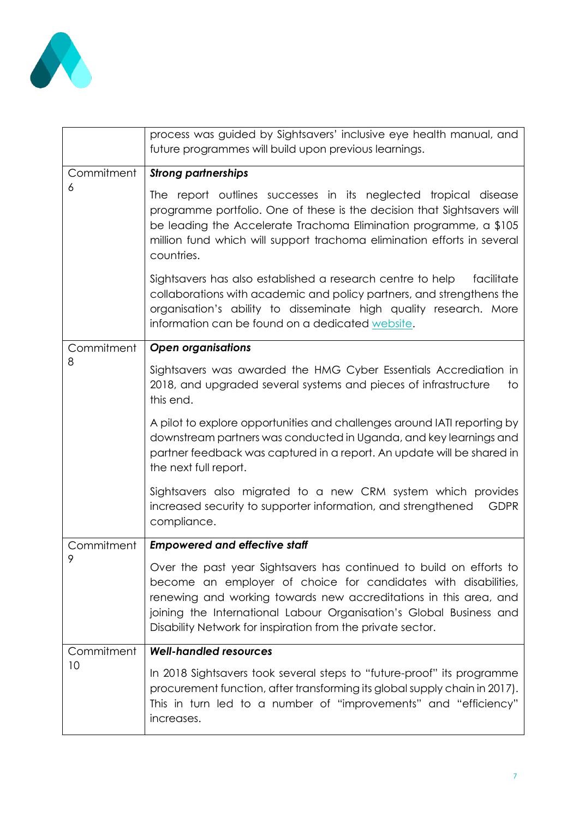

| process was guided by Sightsavers' inclusive eye health manual, and<br>future programmes will build upon previous learnings.                                                                                                                                                                                                                     |
|--------------------------------------------------------------------------------------------------------------------------------------------------------------------------------------------------------------------------------------------------------------------------------------------------------------------------------------------------|
| <b>Strong partnerships</b>                                                                                                                                                                                                                                                                                                                       |
| The report outlines successes in its neglected tropical disease<br>programme portfolio. One of these is the decision that Sightsavers will<br>be leading the Accelerate Trachoma Elimination programme, a \$105<br>million fund which will support trachoma elimination efforts in several<br>countries.                                         |
| Sightsavers has also established a research centre to help<br>facilitate<br>collaborations with academic and policy partners, and strengthens the<br>organisation's ability to disseminate high quality research. More<br>information can be found on a dedicated website.                                                                       |
| <b>Open organisations</b>                                                                                                                                                                                                                                                                                                                        |
| Sightsavers was awarded the HMG Cyber Essentials Accrediation in<br>2018, and upgraded several systems and pieces of infrastructure<br>to<br>this end.                                                                                                                                                                                           |
| A pilot to explore opportunities and challenges around IATI reporting by<br>downstream partners was conducted in Uganda, and key learnings and<br>partner feedback was captured in a report. An update will be shared in<br>the next full report.                                                                                                |
| Sightsavers also migrated to a new CRM system which provides<br><b>GDPR</b><br>increased security to supporter information, and strengthened<br>compliance.                                                                                                                                                                                      |
| <b>Empowered and effective staff</b>                                                                                                                                                                                                                                                                                                             |
| Over the past year Sightsavers has continued to build on efforts to<br>become an employer of choice for candidates with disabilities,<br>renewing and working towards new accreditations in this area, and<br>joining the International Labour Organisation's Global Business and<br>Disability Network for inspiration from the private sector. |
| <b>Well-handled resources</b>                                                                                                                                                                                                                                                                                                                    |
| In 2018 Sightsavers took several steps to "future-proof" its programme<br>procurement function, after transforming its global supply chain in 2017).<br>This in turn led to a number of "improvements" and "efficiency"<br>increases.                                                                                                            |
|                                                                                                                                                                                                                                                                                                                                                  |